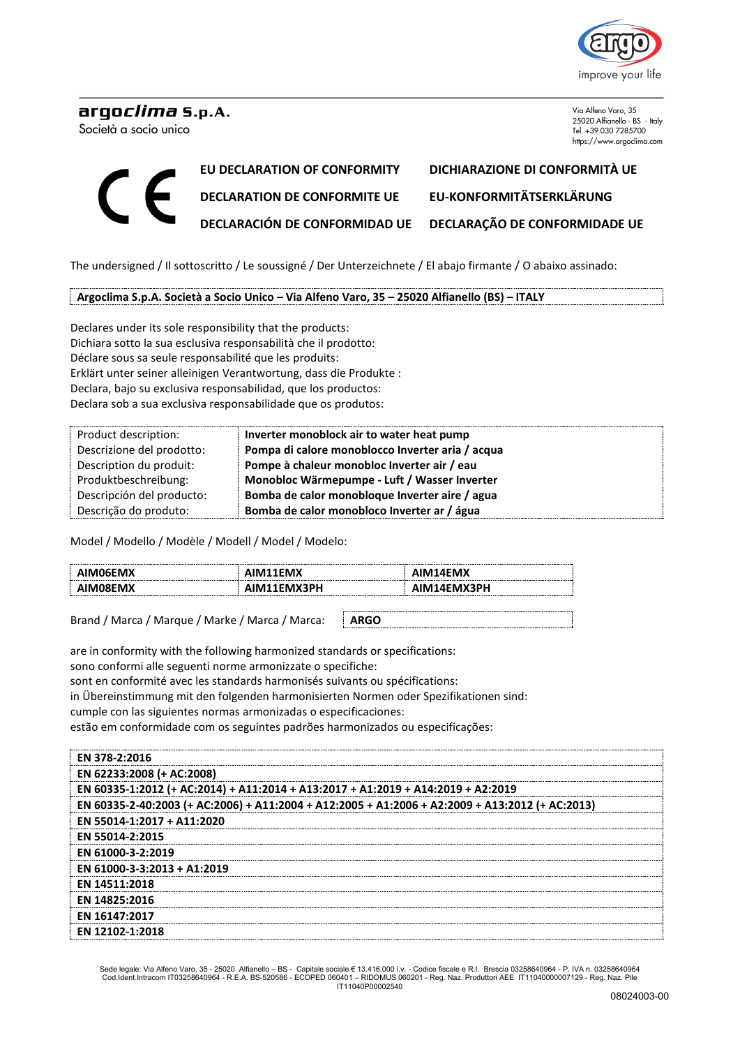

## arqo*clima* s.p.A.

Società a socio unico

Via Alfeno Varo, 35 25020 Alfianello - BS - Italy Tel. +39 030 7285700 https://www.argoclima.com

## **EU DECLARATION OF CONFORMITY DICHIARAZIONE DI CONFORMITÀ UE DECLARATION DE CONFORMITE UE EU-KONFORMITÄTSERKLÄRUNG DECLARACIÓN DE CONFORMIDAD UE DECLARAÇÃO DE CONFORMIDADE UE**

The undersigned / Il sottoscritto / Le soussigné / Der Unterzeichnete / El abajo firmante / O abaixo assinado:

**Argoclima S.p.A. Società a Socio Unico – Via Alfeno Varo, 35 – 25020 Alfianello (BS) – ITALY**

Declares under its sole responsibility that the products: Dichiara sotto la sua esclusiva responsabilità che il prodotto: Déclare sous sa seule responsabilité que les produits: Erklärt unter seiner alleinigen Verantwortung, dass die Produkte : Declara, bajo su exclusiva responsabilidad, que los productos: Declara sob a sua exclusiva responsabilidade que os produtos:

| Product description:      | Inverter monoblock air to water heat pump        |
|---------------------------|--------------------------------------------------|
| Descrizione del prodotto: | Pompa di calore monoblocco Inverter aria / acqua |
| Description du produit:   | Pompe à chaleur monobloc Inverter air / eau      |
| Produktbeschreibung:      | Monobloc Wärmepumpe - Luft / Wasser Inverter     |
| Descripción del producto: | Bomba de calor monobloque Inverter aire / agua   |
| Descrição do produto:     | Bomba de calor monobloco Inverter ar / água      |

Model / Modello / Modèle / Modell / Model / Modelo:

| :nav<br>IM1 | 41 I |
|-------------|------|

Brand / Marca / Marque / Marke / Marca / Marca: **ARGO**

are in conformity with the following harmonized standards or specifications:

sono conformi alle seguenti norme armonizzate o specifiche:

sont en conformité avec les standards harmonisés suivants ou spécifications:

in Übereinstimmung mit den folgenden harmonisierten Normen oder Spezifikationen sind:

cumple con las siguientes normas armonizadas o especificaciones:

estão em conformidade com os seguintes padrões harmonizados ou especificações:

| <b>FN 378-2:2016</b>                                                                            |  |  |
|-------------------------------------------------------------------------------------------------|--|--|
| EN 62233:2008 (+ AC:2008)                                                                       |  |  |
| EN 60335-1:2012 (+ AC:2014) + A11:2014 + A13:2017 + A1:2019 + A14:2019 + A2:2019                |  |  |
| EN 60335-2-40:2003 (+ AC:2006) + A11:2004 + A12:2005 + A1:2006 + A2:2009 + A13:2012 (+ AC:2013) |  |  |
| EN 55014-1:2017 + A11:2020                                                                      |  |  |
| EN 55014-2:2015                                                                                 |  |  |
| EN 61000-3-2:2019                                                                               |  |  |
| EN 61000-3-3:2013 + A1:2019                                                                     |  |  |
| <b>EN 14511:2018</b>                                                                            |  |  |
| EN 14825:2016                                                                                   |  |  |
| EN 16147:2017                                                                                   |  |  |
| EN 12102-1:2018                                                                                 |  |  |

Sede legale: Via Alfeno Varo, 35 - 25020 Alfianello – BS - Capitale sociale € 13.416.000 i.v. - Codice fiscale e R.I. Brescia 03258640964 - P. IVA n. 03258640964<br>Cod.Ident.Intracom IT03258640964 - R.E.A. BS-520586 - EC